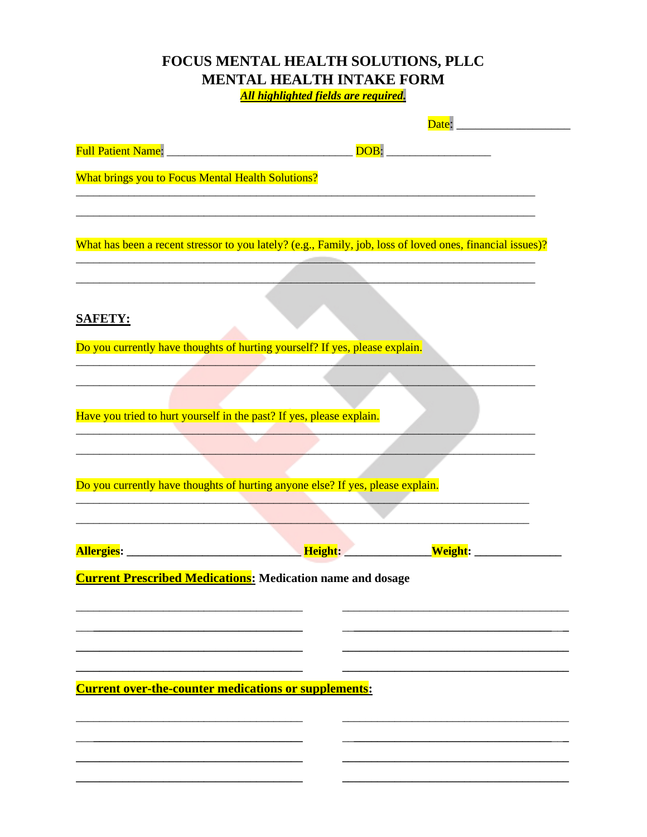## FOCUS MENTAL HEALTH SOLUTIONS, PLLC **MENTAL HEALTH INTAKE FORM** All highlighted fields are required.

Date: <u>Date:</u> Full Patient Name:<br>
Full Patient Name: What brings you to Focus Mental Health Solutions? What has been a recent stressor to you lately? (e.g., Family, job, loss of loved ones, financial issues)? **SAFETY:** Do you currently have thoughts of hurting yourself? If yes, please explain. Have you tried to hurt yourself in the past? If yes, please explain. Do you currently have thoughts of hurting anyone else? If yes, please explain. Allergies: Network of the Media of the Height: Network of the Weight: **Current Prescribed Medications:** Medication name and dosage **Current over-the-counter medications or supplements:**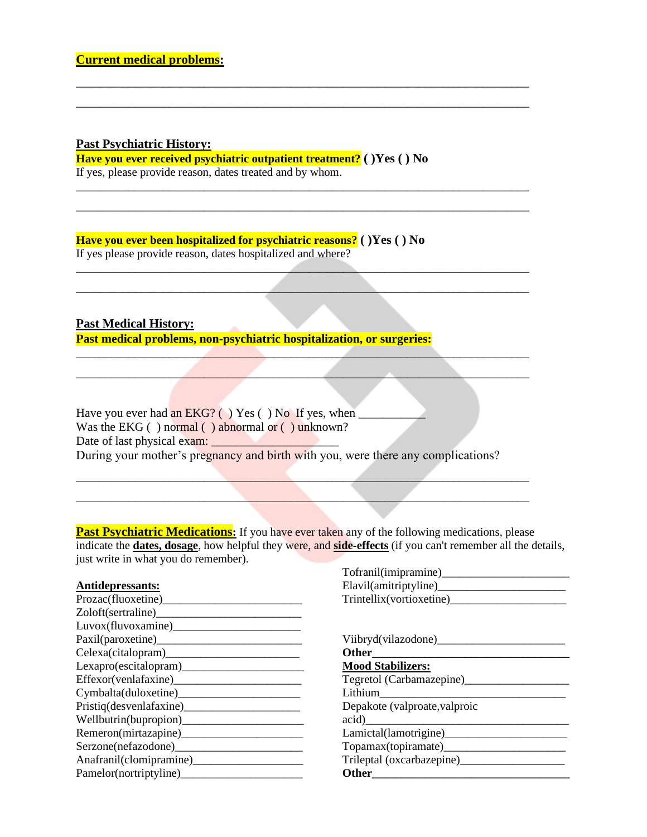## **Past Psychiatric History:**

**Have you ever received psychiatric outpatient treatment? ( )Yes ( ) No** If yes, please provide reason, dates treated and by whom.

\_\_\_\_\_\_\_\_\_\_\_\_\_\_\_\_\_\_\_\_\_\_\_\_\_\_\_\_\_\_\_\_\_\_\_\_\_\_\_\_\_\_\_\_\_\_\_\_\_\_\_\_\_\_\_\_\_\_\_\_\_\_\_\_\_\_\_\_\_\_\_\_\_\_\_\_\_\_ \_\_\_\_\_\_\_\_\_\_\_\_\_\_\_\_\_\_\_\_\_\_\_\_\_\_\_\_\_\_\_\_\_\_\_\_\_\_\_\_\_\_\_\_\_\_\_\_\_\_\_\_\_\_\_\_\_\_\_\_\_\_\_\_\_\_\_\_\_\_\_\_\_\_\_\_\_\_

\_\_\_\_\_\_\_\_\_\_\_\_\_\_\_\_\_\_\_\_\_\_\_\_\_\_\_\_\_\_\_\_\_\_\_\_\_\_\_\_\_\_\_\_\_\_\_\_\_\_\_\_\_\_\_\_\_\_\_\_\_\_\_\_\_\_\_\_\_\_\_\_\_\_\_\_\_\_ \_\_\_\_\_\_\_\_\_\_\_\_\_\_\_\_\_\_\_\_\_\_\_\_\_\_\_\_\_\_\_\_\_\_\_\_\_\_\_\_\_\_\_\_\_\_\_\_\_\_\_\_\_\_\_\_\_\_\_\_\_\_\_\_\_\_\_\_\_\_\_\_\_\_\_\_\_\_

 $\mathcal{L}^{\text{max}}$  and the contribution of the contribution of the contribution of the contribution of the contribution of the contribution of the contribution of the contribution of the contribution of the contribution of th  $\mathcal{L}$  , and the contribution of the contribution of the contribution of the contribution of the contribution of the contribution of the contribution of the contribution of the contribution of the contribution of the co

 $\mathcal{L} = \{ \mathcal{L} \mid \mathcal{L} \in \mathcal{L} \}$  , where  $\mathcal{L} = \{ \mathcal{L} \mid \mathcal{L} \in \mathcal{L} \}$  , where  $\mathcal{L} = \{ \mathcal{L} \mid \mathcal{L} \in \mathcal{L} \}$  $\mathcal{L}=\{x_1,\ldots,x_n\}$  and  $\mathcal{L}=\{x_1,\ldots,x_n\}$  and  $\mathcal{L}=\{x_1,\ldots,x_n\}$  and  $\mathcal{L}=\{x_1,\ldots,x_n\}$ 

**Have you ever been hospitalized for psychiatric reasons? ( )Yes ( ) No** If yes please provide reason, dates hospitalized and where?

**Past Medical History:**

**Past medical problems, non-psychiatric hospitalization, or surgeries:**

Have you ever had an  $EKG?$  ( ) Yes ( ) No If yes, when Was the EKG ( ) normal ( ) abnormal or ( ) unknown? Date of last physical exam: During your mother's pregnancy and birth with you, were there any complications?

 $\mathcal{L} = \{ \mathcal{L} \mid \mathcal{L} \in \mathcal{L} \}$  , where  $\mathcal{L} = \{ \mathcal{L} \mid \mathcal{L} \in \mathcal{L} \}$  , where  $\mathcal{L} = \{ \mathcal{L} \mid \mathcal{L} \in \mathcal{L} \}$  $\mathcal{L}_\text{max} = \mathcal{L}_\text{max} = \mathcal{L}_\text{max} = \mathcal{L}_\text{max} = \mathcal{L}_\text{max} = \mathcal{L}_\text{max} = \mathcal{L}_\text{max} = \mathcal{L}_\text{max} = \mathcal{L}_\text{max} = \mathcal{L}_\text{max} = \mathcal{L}_\text{max} = \mathcal{L}_\text{max} = \mathcal{L}_\text{max} = \mathcal{L}_\text{max} = \mathcal{L}_\text{max} = \mathcal{L}_\text{max} = \mathcal{L}_\text{max} = \mathcal{L}_\text{max} = \mathcal{$ 

**Past Psychiatric Medications:** If you have ever taken any of the following medications, please indicate the **dates, dosage**, how helpful they were, and **side-effects** (if you can't remember all the details, just write in what you do remember).

| Antidepressants:         |  |
|--------------------------|--|
| Prozac(fluoxetine)_      |  |
| Zoloft(sertraline)       |  |
| Luvox(fluvoxamine)_      |  |
| Paxil(paroxetine)_____   |  |
| Celexa(citalopram)_      |  |
| Lexapro(escitalogram)    |  |
| Effexor(venlafaxine)     |  |
| Cymbalta(duloxetine)_    |  |
| Pristiq(desvenlafaxine)_ |  |
| Wellbutrin(bupropion)_   |  |
| Remeron(mirtazapine)____ |  |
| Serzone(nefazodone)      |  |
| Anafranil(clomipramine)  |  |
| Pamelor(nortriptyline)_  |  |

| Tofranil(imipramine)_    |
|--------------------------|
| Elavil(amitriptyline)    |
| Trintellix(vortioxetine) |

| Viibryd(vilazodone)           |
|-------------------------------|
| Other                         |
| <b>Mood Stabilizers:</b>      |
| Tegretol (Carbamazepine)      |
| Lithium                       |
| Depakote (valproate, valproic |
| acid)                         |
| Lamictal(lamotrigine)         |
| Topamax(topiramate)_          |
| Trileptal (oxcarbazepine)     |
| <b>Other</b>                  |
|                               |